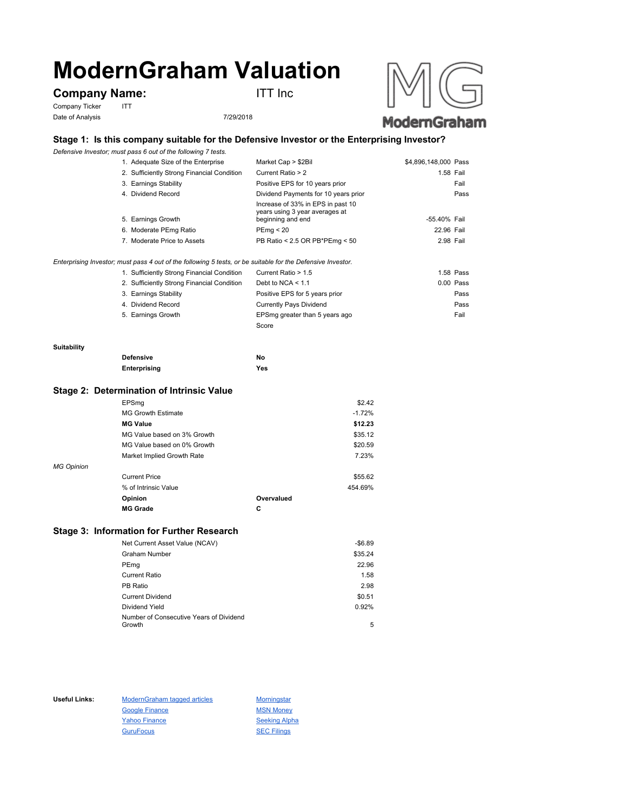# **ModernGraham Valuation**

## **Company Name:** ITT Inc

Company Ticker ITT Date of Analysis 7/29/2018



### **Stage 1: Is this company suitable for the Defensive Investor or the Enterprising Investor?**

*Defensive Investor; must pass 6 out of the following 7 tests.*

| 1. Adequate Size of the Enterprise         | Market Cap > \$2Bil                                                                      | \$4,896,148,000 Pass |      |
|--------------------------------------------|------------------------------------------------------------------------------------------|----------------------|------|
| 2. Sufficiently Strong Financial Condition | Current Ratio > 2                                                                        | 1.58 Fail            |      |
| 3. Earnings Stability                      | Positive EPS for 10 years prior                                                          |                      | Fail |
| 4. Dividend Record                         | Dividend Payments for 10 years prior                                                     |                      | Pass |
| 5. Earnings Growth                         | Increase of 33% in EPS in past 10<br>years using 3 year averages at<br>beginning and end | -55.40% Fail         |      |
|                                            |                                                                                          |                      |      |
| 6. Moderate PEmg Ratio                     | PEmg < 20                                                                                | 22.96 Fail           |      |
| 7. Moderate Price to Assets                | PB Ratio < 2.5 OR PB*PEmg < 50                                                           | 2.98 Fail            |      |
|                                            |                                                                                          |                      |      |
|                                            |                                                                                          |                      |      |

*Enterprising Investor; must pass 4 out of the following 5 tests, or be suitable for the Defensive Investor.*

| 1. Sufficiently Strong Financial Condition | Current Ratio > 1.5            | 1.58 Pass |
|--------------------------------------------|--------------------------------|-----------|
| 2. Sufficiently Strong Financial Condition | Debt to NCA $<$ 1.1            | 0.00 Pass |
| 3. Earnings Stability                      | Positive EPS for 5 years prior | Pass      |
| 4. Dividend Record                         | <b>Currently Pays Dividend</b> | Pass      |
| 5. Earnings Growth                         | EPSmg greater than 5 years ago | Fail      |
|                                            | Score                          |           |

#### **Suitability**

| <b>Defensive</b> | No  |
|------------------|-----|
| Enterprising     | Yes |

#### **Stage 2: Determination of Intrinsic Value**

|                   | EPSmg                       |            | \$2.42   |
|-------------------|-----------------------------|------------|----------|
|                   | <b>MG Growth Estimate</b>   |            | $-1.72%$ |
|                   | <b>MG Value</b>             |            | \$12.23  |
|                   | MG Value based on 3% Growth |            | \$35.12  |
|                   | MG Value based on 0% Growth |            | \$20.59  |
|                   | Market Implied Growth Rate  |            | 7.23%    |
| <b>MG Opinion</b> |                             |            |          |
|                   | <b>Current Price</b>        |            | \$55.62  |
|                   | % of Intrinsic Value        |            | 454.69%  |
|                   | Opinion                     | Overvalued |          |
|                   | <b>MG Grade</b>             | С          |          |
|                   |                             |            |          |

#### **Stage 3: Information for Further Research**

| Net Current Asset Value (NCAV)          | $-$6.89$ |
|-----------------------------------------|----------|
| Graham Number                           | \$35.24  |
| PEmg                                    | 22.96    |
| Current Ratio                           | 1.58     |
| PB Ratio                                | 2.98     |
| <b>Current Dividend</b>                 | \$0.51   |
| Dividend Yield                          | 0.92%    |
| Number of Consecutive Years of Dividend |          |
| Growth                                  | 5        |

Useful Links: ModernGraham tagged articles Morningstar Google Finance MSN Money Yahoo Finance Seeking Alpha GuruFocus SEC Filings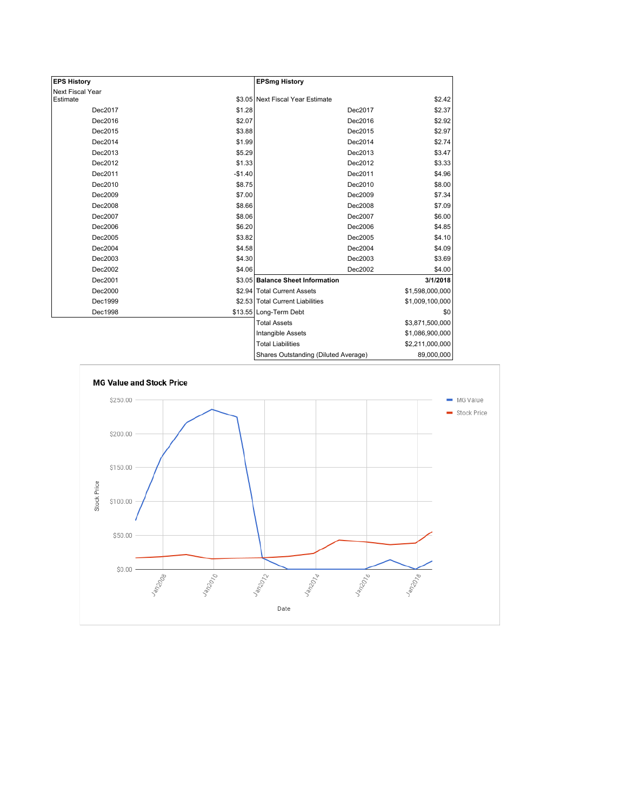| <b>EPS History</b> |          | <b>EPSmg History</b>                 |                 |
|--------------------|----------|--------------------------------------|-----------------|
| Next Fiscal Year   |          |                                      |                 |
| Estimate           |          | \$3.05 Next Fiscal Year Estimate     | \$2.42          |
| Dec2017            | \$1.28   | Dec2017                              | \$2.37          |
| Dec2016            | \$2.07   | Dec2016                              | \$2.92          |
| Dec2015            | \$3.88   | Dec2015                              | \$2.97          |
| Dec2014            | \$1.99   | Dec2014                              | \$2.74          |
| Dec2013            | \$5.29   | Dec2013                              | \$3.47          |
| Dec2012            | \$1.33   | Dec2012                              | \$3.33          |
| Dec2011            | $-$1.40$ | Dec2011                              | \$4.96          |
| Dec2010            | \$8.75   | Dec2010                              | \$8.00          |
| Dec2009            | \$7.00   | Dec2009                              | \$7.34          |
| Dec2008            | \$8.66   | Dec2008                              | \$7.09          |
| Dec2007            | \$8.06   | Dec2007                              | \$6.00          |
| Dec2006            | \$6.20   | Dec2006                              | \$4.85          |
| Dec2005            | \$3.82   | Dec2005                              | \$4.10          |
| Dec2004            | \$4.58   | Dec2004                              | \$4.09          |
| Dec2003            | \$4.30   | Dec2003                              | \$3.69          |
| Dec2002            | \$4.06   | Dec2002                              | \$4.00          |
| Dec2001            |          | \$3.05 Balance Sheet Information     | 3/1/2018        |
| Dec2000            |          | \$2.94 Total Current Assets          | \$1,598,000,000 |
| Dec1999            |          | \$2.53 Total Current Liabilities     | \$1,009,100,000 |
| Dec1998            |          | \$13.55 Long-Term Debt               | \$0             |
|                    |          | <b>Total Assets</b>                  | \$3,871,500,000 |
|                    |          | Intangible Assets                    | \$1,086,900,000 |
|                    |          | <b>Total Liabilities</b>             | \$2,211,000,000 |
|                    |          | Sharee Outetanding (Diluted Average) | 80.000.000      |